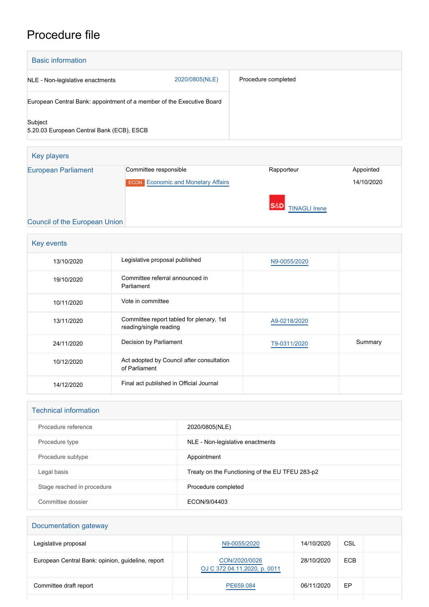# Procedure file

| <b>Basic information</b>                                              |                |                     |
|-----------------------------------------------------------------------|----------------|---------------------|
| NLE - Non-legislative enactments                                      | 2020/0805(NLE) | Procedure completed |
| European Central Bank: appointment of a member of the Executive Board |                |                     |
| Subject<br>5.20.03 European Central Bank (ECB), ESCB                  |                |                     |

| Key players                   |                                           |                                        |            |
|-------------------------------|-------------------------------------------|----------------------------------------|------------|
| <b>European Parliament</b>    | Committee responsible                     | Rapporteur                             | Appointed  |
|                               | <b>ECON</b> Economic and Monetary Affairs |                                        | 14/10/2020 |
|                               |                                           | <b>S&amp;D</b><br><b>TINAGLI Irene</b> |            |
| Council of the European Union |                                           |                                        |            |

## [Council of the European Union](http://www.consilium.europa.eu)

| Key events |                                                                    |              |         |
|------------|--------------------------------------------------------------------|--------------|---------|
| 13/10/2020 | Legislative proposal published                                     | N9-0055/2020 |         |
| 19/10/2020 | Committee referral announced in<br>Parliament                      |              |         |
| 10/11/2020 | Vote in committee                                                  |              |         |
| 13/11/2020 | Committee report tabled for plenary, 1st<br>reading/single reading | A9-0218/2020 |         |
| 24/11/2020 | Decision by Parliament                                             | T9-0311/2020 | Summary |
| 10/12/2020 | Act adopted by Council after consultation<br>of Parliament         |              |         |
| 14/12/2020 | Final act published in Official Journal                            |              |         |

#### Technical information

| Procedure reference        | 2020/0805(NLE)                                  |
|----------------------------|-------------------------------------------------|
| Procedure type             | NLE - Non-legislative enactments                |
| Procedure subtype          | Appointment                                     |
| Legal basis                | Treaty on the Functioning of the EU TFEU 283-p2 |
| Stage reached in procedure | Procedure completed                             |
| Committee dossier          | ECON/9/04403                                    |

# Documentation gateway

| Legislative proposal                              | N9-0055/2020                                  | 14/10/2020 | CSL        |
|---------------------------------------------------|-----------------------------------------------|------------|------------|
| European Central Bank: opinion, guideline, report | CON/2020/0026<br>OJ C 372 04.11.2020, p. 0011 | 28/10/2020 | <b>ECB</b> |
| Committee draft report                            | PE659.084                                     | 06/11/2020 | EP         |
|                                                   |                                               |            |            |